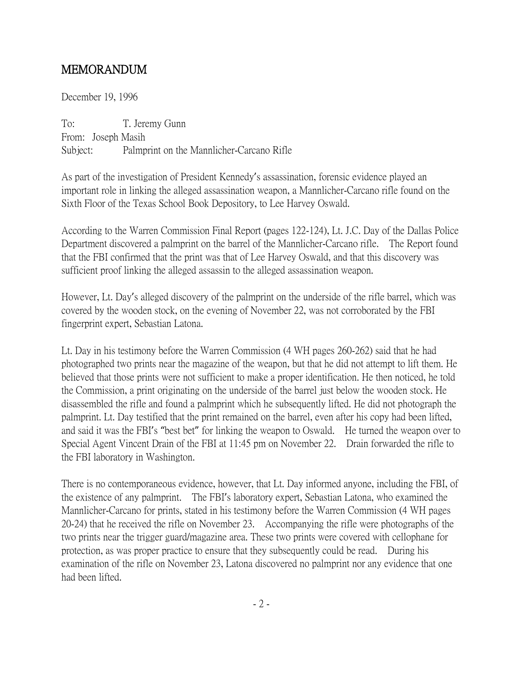## MEMORANDUM

December 19, 1996

To: T. Jeremy Gunn From: Joseph Masih Subject: Palmprint on the Mannlicher-Carcano Rifle

As part of the investigation of President Kennedy's assassination, forensic evidence played an important role in linking the alleged assassination weapon, a Mannlicher-Carcano rifle found on the Sixth Floor of the Texas School Book Depository, to Lee Harvey Oswald.

According to the Warren Commission Final Report (pages 122-124), Lt. J.C. Day of the Dallas Police Department discovered a palmprint on the barrel of the Mannlicher-Carcano rifle. The Report found that the FBI confirmed that the print was that of Lee Harvey Oswald, and that this discovery was sufficient proof linking the alleged assassin to the alleged assassination weapon.

However, Lt. Day's alleged discovery of the palmprint on the underside of the rifle barrel, which was covered by the wooden stock, on the evening of November 22, was not corroborated by the FBI fingerprint expert, Sebastian Latona.

Lt. Day in his testimony before the Warren Commission (4 WH pages 260-262) said that he had photographed two prints near the magazine of the weapon, but that he did not attempt to lift them. He believed that those prints were not sufficient to make a proper identification. He then noticed, he told the Commission, a print originating on the underside of the barrel just below the wooden stock. He disassembled the rifle and found a palmprint which he subsequently lifted. He did not photograph the palmprint. Lt. Day testified that the print remained on the barrel, even after his copy had been lifted, and said it was the FBI's "best bet" for linking the weapon to Oswald. He turned the weapon over to Special Agent Vincent Drain of the FBI at 11:45 pm on November 22. Drain forwarded the rifle to the FBI laboratory in Washington.

There is no contemporaneous evidence, however, that Lt. Day informed anyone, including the FBI, of the existence of any palmprint. The FBI's laboratory expert, Sebastian Latona, who examined the Mannlicher-Carcano for prints, stated in his testimony before the Warren Commission (4 WH pages 20-24) that he received the rifle on November 23. Accompanying the rifle were photographs of the two prints near the trigger guard/magazine area. These two prints were covered with cellophane for protection, as was proper practice to ensure that they subsequently could be read. During his examination of the rifle on November 23, Latona discovered no palmprint nor any evidence that one had been lifted.